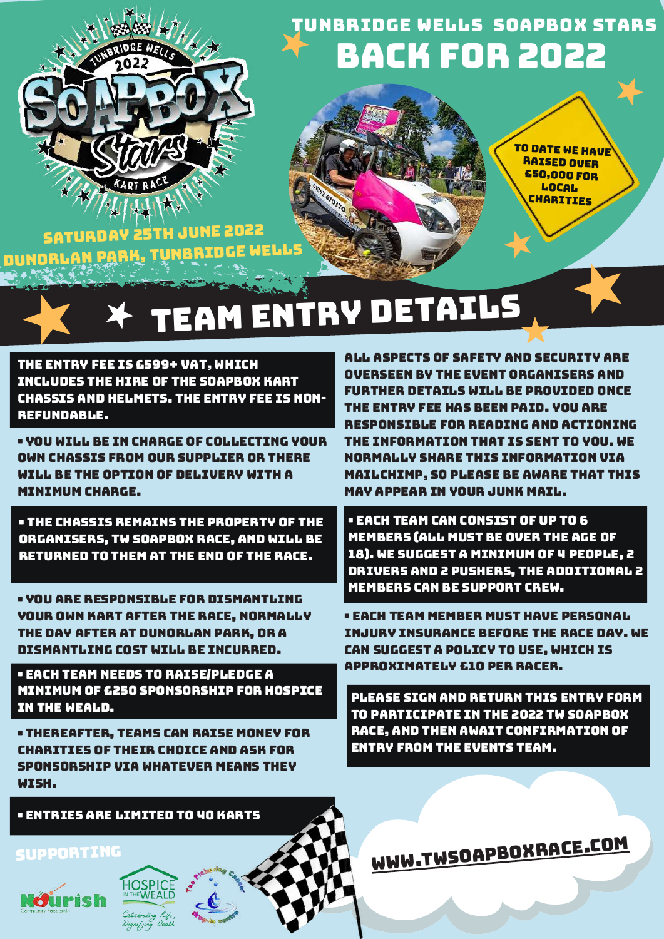

# Back for 2022 Tunbridge Wells Soapbox Stars

To date we have **RAISED OVER** £50,000 for **LOCAL CHARITIES** 

Saturday 25th June <sup>2022</sup> DUNORLAN PARK, TUNBRIDGE WELL

# TEAM ENTRY DETAILS

The entry fee is £599+ VAT, which includes the hire of the soapbox kart chassis and helmets. The entry fee is nonrefundable.

• You will be in charge of collecting your own chassis from our supplier or there will be the option of delivery with a minimum charge.

• The chassis remains the property of the organisers, TW Soapbox Race, and will be returned to them at the end of the race.

• You are responsible for dismantling your own kart after the race, normally the day after at Dunorlan Park, or a dismantling cost will be incurred.

• Each team needs to raise/pledge a minimum of £250 sponsorship for hospice in the weald.

• Thereafter, teams can raise money for charities of their choice and ask for sponsorship via whatever means they wish.

• Entries are limited to 40 karts

All aspects of safety and security are overseen by the event organisers and further details will be provided once the entry fee has been paid. You are responsible for reading and actioning the information that is sent to you. We normally share this information via MailChimp, so please be aware that this MAV APPEAR IN VOUR JUNK MAIL.

• Each team can consist of up to 6 members (all must be over the age of 18). We suggest a minimum of 4 people, 2 drivers and 2 pushers, the additional 2 members can be support crew.

• Each team member must have personal injury insurance before the race day. We can suggest a policy to use, which is approximately £10 per racer.

Please sign and return this entry form to participate in the 2022 TW Soapbox race, and then await confirmation of entry from the events team.

[www.twsoapboxrace.com](http://www.twsoapboxrace.com/)



Supporting